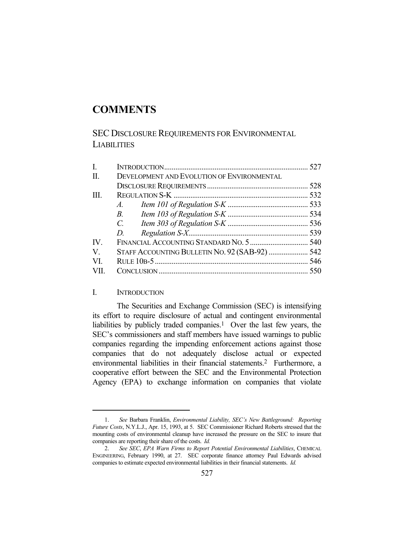# **COMMENTS**

# SEC DISCLOSURE REQUIREMENTS FOR ENVIRONMENTAL **LIABILITIES**

| I.                    |                                                |  |
|-----------------------|------------------------------------------------|--|
| II.                   | DEVELOPMENT AND EVOLUTION OF ENVIRONMENTAL     |  |
|                       |                                                |  |
| III.                  |                                                |  |
|                       | $A$ .                                          |  |
|                       | $B_{\cdot}$                                    |  |
|                       | $C_{\cdot}$                                    |  |
|                       | D.                                             |  |
| $\mathbf{IV}_{\cdot}$ |                                                |  |
| $\mathbf{V}_{\cdot}$  | STAFF ACCOUNTING BULLETIN NO. 92 (SAB-92)  542 |  |
| VL                    |                                                |  |
| VII.                  |                                                |  |

# I. INTRODUCTION

 The Securities and Exchange Commission (SEC) is intensifying its effort to require disclosure of actual and contingent environmental liabilities by publicly traded companies.<sup>1</sup> Over the last few years, the SEC's commissioners and staff members have issued warnings to public companies regarding the impending enforcement actions against those companies that do not adequately disclose actual or expected environmental liabilities in their financial statements.2 Furthermore, a cooperative effort between the SEC and the Environmental Protection Agency (EPA) to exchange information on companies that violate

 <sup>1.</sup> *See* Barbara Franklin, *Environmental Liability, SEC's New Battleground: Reporting Future Costs*, N.Y.L.J., Apr. 15, 1993, at 5. SEC Commissioner Richard Roberts stressed that the mounting costs of environmental cleanup have increased the pressure on the SEC to insure that companies are reporting their share of the costs. *Id.*

 <sup>2.</sup> *See SEC*, *EPA Warn Firms to Report Potential Environmental Liabilities*, CHEMICAL ENGINEERING, February 1990, at 27. SEC corporate finance attorney Paul Edwards advised companies to estimate expected environmental liabilities in their financial statements. *Id.*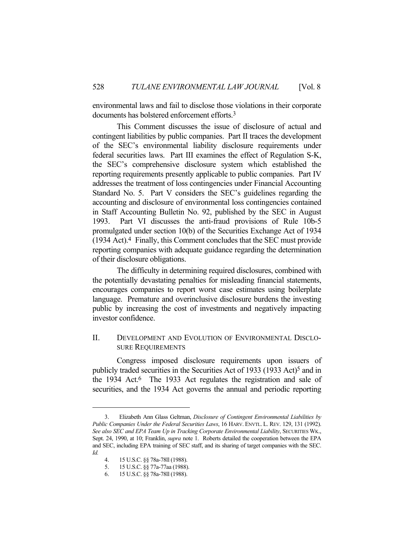environmental laws and fail to disclose those violations in their corporate documents has bolstered enforcement efforts.3

 This Comment discusses the issue of disclosure of actual and contingent liabilities by public companies. Part II traces the development of the SEC's environmental liability disclosure requirements under federal securities laws. Part III examines the effect of Regulation S-K, the SEC's comprehensive disclosure system which established the reporting requirements presently applicable to public companies. Part IV addresses the treatment of loss contingencies under Financial Accounting Standard No. 5. Part V considers the SEC's guidelines regarding the accounting and disclosure of environmental loss contingencies contained in Staff Accounting Bulletin No. 92, published by the SEC in August 1993. Part VI discusses the anti-fraud provisions of Rule 10b-5 promulgated under section 10(b) of the Securities Exchange Act of 1934 (1934 Act).4 Finally, this Comment concludes that the SEC must provide reporting companies with adequate guidance regarding the determination of their disclosure obligations.

 The difficulty in determining required disclosures, combined with the potentially devastating penalties for misleading financial statements, encourages companies to report worst case estimates using boilerplate language. Premature and overinclusive disclosure burdens the investing public by increasing the cost of investments and negatively impacting investor confidence.

# II. DEVELOPMENT AND EVOLUTION OF ENVIRONMENTAL DISCLO-SURE REQUIREMENTS

 Congress imposed disclosure requirements upon issuers of publicly traded securities in the Securities Act of 1933 (1933 Act)<sup>5</sup> and in the 1934 Act.<sup>6</sup> The 1933 Act regulates the registration and sale of securities, and the 1934 Act governs the annual and periodic reporting

 <sup>3.</sup> Elizabeth Ann Glass Geltman, *Disclosure of Contingent Environmental Liabilities by Public Companies Under the Federal Securities Laws*, 16 HARV. ENVTL. L. REV. 129, 131 (1992). *See also SEC and EPA Team Up in Tracking Corporate Environmental Liability*, SECURITIES WK., Sept. 24, 1990, at 10; Franklin, *supra* note 1. Roberts detailed the cooperation between the EPA and SEC, including EPA training of SEC staff, and its sharing of target companies with the SEC. *Id.*

 <sup>4. 15</sup> U.S.C. §§ 78a-78ll (1988).

 <sup>5. 15</sup> U.S.C. §§ 77a-77aa (1988).

 <sup>6. 15</sup> U.S.C. §§ 78a-78ll (1988).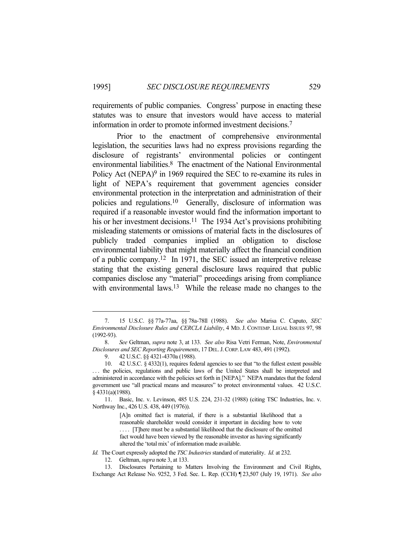requirements of public companies. Congress' purpose in enacting these statutes was to ensure that investors would have access to material information in order to promote informed investment decisions.7

 Prior to the enactment of comprehensive environmental legislation, the securities laws had no express provisions regarding the disclosure of registrants' environmental policies or contingent environmental liabilities.8 The enactment of the National Environmental Policy Act (NEPA) $9$  in 1969 required the SEC to re-examine its rules in light of NEPA's requirement that government agencies consider environmental protection in the interpretation and administration of their policies and regulations.10 Generally, disclosure of information was required if a reasonable investor would find the information important to his or her investment decisions.<sup>11</sup> The 1934 Act's provisions prohibiting misleading statements or omissions of material facts in the disclosures of publicly traded companies implied an obligation to disclose environmental liability that might materially affect the financial condition of a public company.12 In 1971, the SEC issued an interpretive release stating that the existing general disclosure laws required that public companies disclose any "material" proceedings arising from compliance with environmental laws.<sup>13</sup> While the release made no changes to the

*Id.* The Court expressly adopted the *TSC Industries* standard of materiality. *Id.* at 232.

 <sup>7. 15</sup> U.S.C. §§ 77a-77aa, §§ 78a-78ll (1988). *See also* Marisa C. Caputo, *SEC Environmental Disclosure Rules and CERCLA Liability*, 4 MD. J. CONTEMP. LEGAL ISSUES 97, 98 (1992-93).

 <sup>8.</sup> *See* Geltman, *supra* note 3, at 133. *See also* Risa Vetri Ferman, Note, *Environmental Disclosures and SEC Reporting Requirements*, 17 DEL.J.CORP.LAW 483, 491 (1992).

 <sup>9. 42</sup> U.S.C. §§ 4321-4370a (1988).

 <sup>10. 42</sup> U.S.C. § 4332(1), requires federal agencies to see that "to the fullest extent possible the policies, regulations and public laws of the United States shall be interpreted and administered in accordance with the policies set forth in [NEPA]." NEPA mandates that the federal government use "all practical means and measures" to protect environmental values. 42 U.S.C. § 4331(a)(1988).

 <sup>11.</sup> Basic, Inc. v. Levinson, 485 U.S. 224, 231-32 (1988) (citing TSC Industries, Inc. v. Northway Inc., 426 U.S. 438, 449 (1976)).

<sup>[</sup>A]n omitted fact is material, if there is a substantial likelihood that a reasonable shareholder would consider it important in deciding how to vote . . . . [T]here must be a substantial likelihood that the disclosure of the omitted fact would have been viewed by the reasonable investor as having significantly altered the 'total mix' of information made available.

 <sup>12.</sup> Geltman, *supra* note 3, at 133.

 <sup>13.</sup> Disclosures Pertaining to Matters Involving the Environment and Civil Rights, Exchange Act Release No. 9252, 3 Fed. Sec. L. Rep. (CCH) ¶ 23,507 (July 19, 1971). *See also*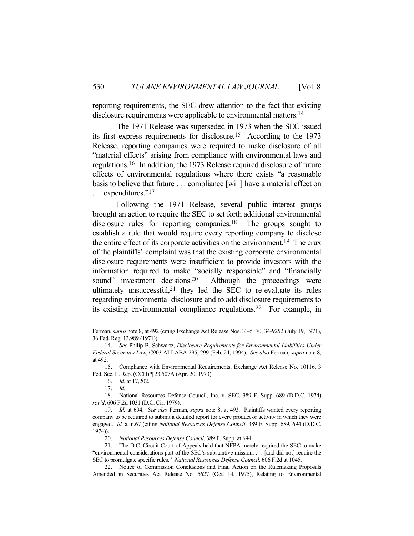reporting requirements, the SEC drew attention to the fact that existing disclosure requirements were applicable to environmental matters.<sup>14</sup>

 The 1971 Release was superseded in 1973 when the SEC issued its first express requirements for disclosure.15 According to the 1973 Release, reporting companies were required to make disclosure of all "material effects" arising from compliance with environmental laws and regulations.16 In addition, the 1973 Release required disclosure of future effects of environmental regulations where there exists "a reasonable basis to believe that future . . . compliance [will] have a material effect on . . . expenditures."17

 Following the 1971 Release, several public interest groups brought an action to require the SEC to set forth additional environmental disclosure rules for reporting companies.<sup>18</sup> The groups sought to establish a rule that would require every reporting company to disclose the entire effect of its corporate activities on the environment.19 The crux of the plaintiffs' complaint was that the existing corporate environmental disclosure requirements were insufficient to provide investors with the information required to make "socially responsible" and "financially sound" investment decisions.<sup>20</sup> Although the proceedings were ultimately unsuccessful, $21$  they led the SEC to re-evaluate its rules regarding environmental disclosure and to add disclosure requirements to its existing environmental compliance regulations.22 For example, in

 15. Compliance with Environmental Requirements, Exchange Act Release No. 10116, 3 Fed. Sec. L. Rep. (CCH) ¶ 23,507A (Apr. 20, 1973).

16. *Id.* at 17,202.

 18. National Resources Defense Council, Inc. v. SEC, 389 F. Supp. 689 (D.D.C. 1974) *rev'd*, 606 F.2d 1031 (D.C. Cir. 1979).

Ferman, *supra* note 8, at 492 (citing Exchange Act Release Nos. 33-5170, 34-9252 (July 19, 1971), 36 Fed. Reg. 13,989 (1971)).

 <sup>14.</sup> *See* Philip B. Schwartz, *Disclosure Requirements for Environmental Liabilities Under Federal Securities Law*, C903 ALI-ABA 295, 299 (Feb. 24, 1994). *See also* Ferman, *supra* note 8, at 492.

 <sup>17.</sup> *Id.*

 <sup>19.</sup> *Id.* at 694. *See also* Ferman, *supra* note 8, at 493. Plaintiffs wanted every reporting company to be required to submit a detailed report for every product or activity in which they were engaged. *Id.* at n.67 (citing *National Resources Defense Council*, 389 F. Supp. 689, 694 (D.D.C. 1974)).

 <sup>20.</sup> *National Resources Defense Council*, 389 F. Supp. at 694.

 <sup>21.</sup> The D.C. Circuit Court of Appeals held that NEPA merely required the SEC to make "environmental considerations part of the SEC's substantive mission, . . . [and did not] require the SEC to promulgate specific rules." *National Resources Defense Council,* 606 F.2d at 1045.

 <sup>22.</sup> Notice of Commission Conclusions and Final Action on the Rulemaking Proposals Amended in Securities Act Release No. 5627 (Oct. 14, 1975), Relating to Environmental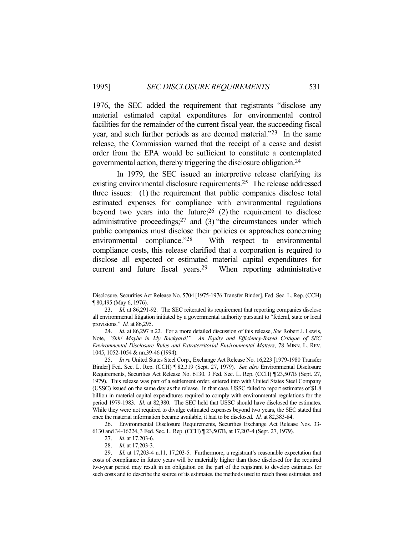1976, the SEC added the requirement that registrants "disclose any material estimated capital expenditures for environmental control facilities for the remainder of the current fiscal year, the succeeding fiscal year, and such further periods as are deemed material."23 In the same release, the Commission warned that the receipt of a cease and desist order from the EPA would be sufficient to constitute a contemplated governmental action, thereby triggering the disclosure obligation.24

 In 1979, the SEC issued an interpretive release clarifying its existing environmental disclosure requirements.<sup>25</sup> The release addressed three issues: (1) the requirement that public companies disclose total estimated expenses for compliance with environmental regulations beyond two years into the future;  $26$  (2) the requirement to disclose administrative proceedings; $27$  and (3) "the circumstances under which public companies must disclose their policies or approaches concerning environmental compliance."28 With respect to environmental compliance costs, this release clarified that a corporation is required to disclose all expected or estimated material capital expenditures for current and future fiscal years.29 When reporting administrative

 24. *Id.* at 86,297 n.22. For a more detailed discussion of this release, *See* Robert J. Lewis, Note, *"Shh! Maybe in My Backyard!" An Equity and Efficiency-Based Critique of SEC Environmental Disclosure Rules and Extraterritorial Environmental Matters*, 78 MINN. L. REV. 1045, 1052-1054 & nn.39-46 (1994).

 25. *In re* United States Steel Corp., Exchange Act Release No. 16,223 [1979-1980 Transfer Binder] Fed. Sec. L. Rep. (CCH) ¶ 82,319 (Sept. 27, 1979). *See also* Environmental Disclosure Requirements, Securities Act Release No. 6130, 3 Fed. Sec. L. Rep. (CCH) ¶ 23,507B (Sept. 27, 1979). This release was part of a settlement order, entered into with United States Steel Company (USSC) issued on the same day as the release. In that case, USSC failed to report estimates of \$1.8 billion in material capital expenditures required to comply with environmental regulations for the period 1979-1983. *Id.* at 82,380. The SEC held that USSC should have disclosed the estimates. While they were not required to divulge estimated expenses beyond two years, the SEC stated that once the material information became available, it had to be disclosed. *Id.* at 82,383-84.

 26. Environmental Disclosure Requirements, Securities Exchange Act Release Nos. 33- 6130 and 34-16224, 3 Fed. Sec. L. Rep. (CCH) ¶ 23,507B, at 17,203-4 (Sept. 27, 1979).

Disclosure, Securities Act Release No. 5704 [1975-1976 Transfer Binder], Fed. Sec. L. Rep. (CCH) ¶ 80,495 (May 6, 1976).

 <sup>23.</sup> *Id.* at 86,291-92. The SEC reiterated its requirement that reporting companies disclose all environmental litigation initiated by a governmental authority pursuant to "federal, state or local provisions." *Id.* at 86,295.

 <sup>27.</sup> *Id.* at 17,203-6.

 <sup>28.</sup> *Id.* at 17,203-3.

 <sup>29.</sup> *Id.* at 17,203-4 n.11, 17,203-5. Furthermore, a registrant's reasonable expectation that costs of compliance in future years will be materially higher than those disclosed for the required two-year period may result in an obligation on the part of the registrant to develop estimates for such costs and to describe the source of its estimates, the methods used to reach those estimates, and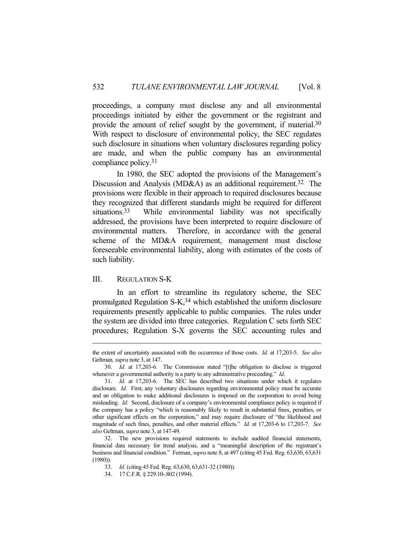proceedings, a company must disclose any and all environmental proceedings initiated by either the government or the registrant and provide the amount of relief sought by the government, if material.30 With respect to disclosure of environmental policy, the SEC regulates such disclosure in situations when voluntary disclosures regarding policy are made, and when the public company has an environmental compliance policy.31

 In 1980, the SEC adopted the provisions of the Management's Discussion and Analysis (MD&A) as an additional requirement.<sup>32</sup> The provisions were flexible in their approach to required disclosures because they recognized that different standards might be required for different situations.<sup>33</sup> While environmental liability was not specifically addressed, the provisions have been interpreted to require disclosure of environmental matters. Therefore, in accordance with the general scheme of the MD&A requirement, management must disclose foreseeable environmental liability, along with estimates of the costs of such liability.

# III. REGULATION S-K

 In an effort to streamline its regulatory scheme, the SEC promulgated Regulation  $S-K<sub>1</sub><sup>34</sup>$  which established the uniform disclosure requirements presently applicable to public companies. The rules under the system are divided into three categories. Regulation C sets forth SEC procedures; Regulation S-X governs the SEC accounting rules and

the extent of uncertainty associated with the occurrence of those costs. *Id.* at 17,203-5. *See also*  Geltman*, supra* note 3, at 147.

 <sup>30.</sup> *Id.* at 17,203-6. The Commission stated "[t]he obligation to disclose is triggered whenever a governmental authority is a party to any administrative proceeding." *Id.*

 <sup>31.</sup> *Id.* at 17,203-6. The SEC has described two situations under which it regulates disclosure. *Id.* First, any voluntary disclosures regarding environmental policy must be accurate and an obligation to make additional disclosures is imposed on the corporation to avoid being misleading. *Id.* Second, disclosure of a company's environmental compliance policy is required if the company has a policy "which is reasonably likely to result in substantial fines, penalties, or other significant effects on the corporation," and may require disclosure of "the likelihood and magnitude of such fines, penalties, and other material effects." *Id.* at 17,203-6 to 17,203-7. *See also* Geltman, *supra* note 3, at 147-49.

 <sup>32.</sup> The new provisions required statements to include audited financial statements, financial data necessary for trend analysis, and a "meaningful description of the registrant's business and financial condition." Ferman, *supra* note 8, at 497 (citing 45 Fed. Reg. 63,630, 63,631 (1980)).

 <sup>33.</sup> *Id.* (citing 45 Fed. Reg. 63,630, 63,631-32 (1980)).

 <sup>34. 17</sup> C.F.R. § 229.10-.802 (1994).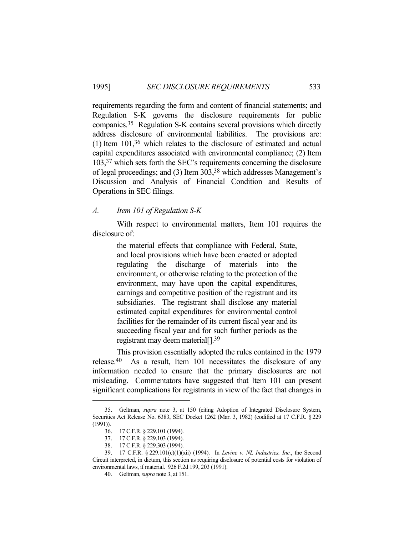requirements regarding the form and content of financial statements; and Regulation S-K governs the disclosure requirements for public companies.35 Regulation S-K contains several provisions which directly address disclosure of environmental liabilities. The provisions are: (1) Item 101,36 which relates to the disclosure of estimated and actual capital expenditures associated with environmental compliance; (2) Item 103,37 which sets forth the SEC's requirements concerning the disclosure of legal proceedings; and (3) Item 303,38 which addresses Management's Discussion and Analysis of Financial Condition and Results of Operations in SEC filings.

# *A. Item 101 of Regulation S-K*

 With respect to environmental matters, Item 101 requires the disclosure of:

> the material effects that compliance with Federal, State, and local provisions which have been enacted or adopted regulating the discharge of materials into the environment, or otherwise relating to the protection of the environment, may have upon the capital expenditures, earnings and competitive position of the registrant and its subsidiaries. The registrant shall disclose any material estimated capital expenditures for environmental control facilities for the remainder of its current fiscal year and its succeeding fiscal year and for such further periods as the registrant may deem material[].39

 This provision essentially adopted the rules contained in the 1979 release.40 As a result, Item 101 necessitates the disclosure of any information needed to ensure that the primary disclosures are not misleading. Commentators have suggested that Item 101 can present significant complications for registrants in view of the fact that changes in

 <sup>35.</sup> Geltman, *supra* note 3, at 150 (citing Adoption of Integrated Disclosure System, Securities Act Release No. 6383, SEC Docket 1262 (Mar. 3, 1982) (codified at 17 C.F.R. § 229  $(1991)$ ).

 <sup>36. 17</sup> C.F.R. § 229.101 (1994).

 <sup>37. 17</sup> C.F.R. § 229.103 (1994).

 <sup>38. 17</sup> C.F.R. § 229.303 (1994).

 <sup>39. 17</sup> C.F.R. § 229.101(c)(1)(xii) (1994). In *Levine v. NL Industries, Inc.*, the Second Circuit interpreted, in dictum, this section as requiring disclosure of potential costs for violation of environmental laws, if material. 926 F.2d 199, 203 (1991).

 <sup>40.</sup> Geltman, *supra* note 3, at 151.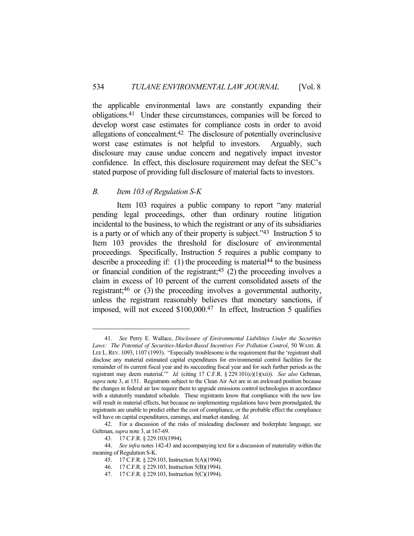the applicable environmental laws are constantly expanding their obligations.41 Under these circumstances, companies will be forced to develop worst case estimates for compliance costs in order to avoid allegations of concealment.42 The disclosure of potentially overinclusive worst case estimates is not helpful to investors. Arguably, such disclosure may cause undue concern and negatively impact investor confidence. In effect, this disclosure requirement may defeat the SEC's stated purpose of providing full disclosure of material facts to investors.

### *B. Item 103 of Regulation S-K*

 Item 103 requires a public company to report "any material pending legal proceedings, other than ordinary routine litigation incidental to the business, to which the registrant or any of its subsidiaries is a party or of which any of their property is subject."43 Instruction 5 to Item 103 provides the threshold for disclosure of environmental proceedings. Specifically, Instruction 5 requires a public company to describe a proceeding if: (1) the proceeding is material<sup>44</sup> to the business or financial condition of the registrant;<sup>45</sup> (2) the proceeding involves a claim in excess of 10 percent of the current consolidated assets of the registrant;46 or (3) the proceeding involves a governmental authority, unless the registrant reasonably believes that monetary sanctions, if imposed, will not exceed \$100,000.47 In effect, Instruction 5 qualifies

 <sup>41.</sup> *See* Perry E. Wallace, *Disclosure of Environmental Liabilities Under the Securities Laws: The Potential of Securities-Market-Based Incentives For Pollution Control*, 50 WASH. & LEE L.REV. 1093, 1107 (1993). "Especially troublesome is the requirement that the 'registrant shall disclose any material estimated capital expenditures for environmental control facilities for the remainder of its current fiscal year and its succeeding fiscal year and for such further periods as the registrant may deem material.'" *Id.* (citing 17 C.F.R. § 229.101(c)(1)(xii)). *See also* Geltman, *supra* note 3, at 151. Registrants subject to the Clean Air Act are in an awkward position because the changes in federal air law require them to upgrade emissions control technologies in accordance with a statutorily mandated schedule. These registrants know that compliance with the new law will result in material effects, but because no implementing regulations have been promulgated, the registrants are unable to predict either the cost of compliance, or the probable effect the compliance will have on capital expenditures, earnings, and market standing. *Id.*

 <sup>42.</sup> For a discussion of the risks of misleading disclosure and boilerplate language, see Geltman, *supra* note 3, at 167-69.

 <sup>43. 17</sup> C.F.R. § 229.103(1994).

 <sup>44.</sup> *See infra* notes 142-43 and accompanying text for a discussion of materiality within the meaning of Regulation S-K.

 <sup>45. 17</sup> C.F.R. § 229.103, Instruction 5(A)(1994).

 <sup>46. 17</sup> C.F.R. § 229.103, Instruction 5(B)(1994).

 <sup>47. 17</sup> C.F.R. § 229.103, Instruction 5(C)(1994).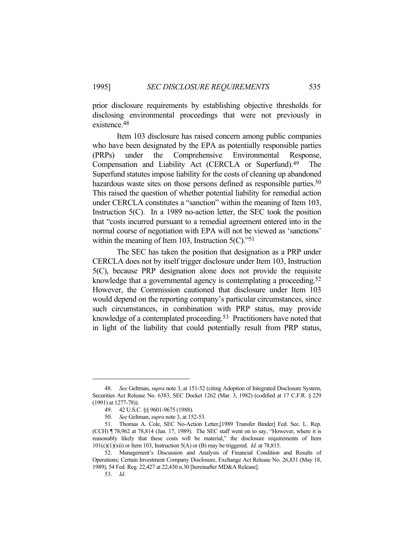prior disclosure requirements by establishing objective thresholds for disclosing environmental proceedings that were not previously in existence.48

 Item 103 disclosure has raised concern among public companies who have been designated by the EPA as potentially responsible parties (PRPs) under the Comprehensive Environmental Response, Compensation and Liability Act (CERCLA or Superfund).49 The Superfund statutes impose liability for the costs of cleaning up abandoned hazardous waste sites on those persons defined as responsible parties.<sup>50</sup> This raised the question of whether potential liability for remedial action under CERCLA constitutes a "sanction" within the meaning of Item 103, Instruction 5(C). In a 1989 no-action letter, the SEC took the position that "costs incurred pursuant to a remedial agreement entered into in the normal course of negotiation with EPA will not be viewed as 'sanctions' within the meaning of Item 103, Instruction 5(C)."<sup>51</sup>

 The SEC has taken the position that designation as a PRP under CERCLA does not by itself trigger disclosure under Item 103, Instruction 5(C), because PRP designation alone does not provide the requisite knowledge that a governmental agency is contemplating a proceeding.<sup>52</sup> However, the Commission cautioned that disclosure under Item 103 would depend on the reporting company's particular circumstances, since such circumstances, in combination with PRP status, may provide knowledge of a contemplated proceeding.53 Practitioners have noted that in light of the liability that could potentially result from PRP status,

 <sup>48.</sup> *See* Geltman, *supra* note 3, at 151-52 (citing Adoption of Integrated Disclosure System, Securities Act Release No. 6383, SEC Docket 1262 (Mar. 3, 1982) (codified at 17 C.F.R. § 229 (1991) at 1277-78)).

 <sup>49. 42</sup> U.S.C. §§ 9601-9675 (1988).

 <sup>50.</sup> *See* Geltman, *supra* note 3, at 152-53.

 <sup>51.</sup> Thomas A. Cole, SEC No-Action Letter,[1989 Transfer Binder] Fed. Sec. L. Rep. (CCH) ¶ 78,962 at 78,814 (Jan. 17, 1989). The SEC staff went on to say, "However, where it is reasonably likely that these costs will be material," the disclosure requirements of Item 101(c)(1)(xii) or Item 103, Instruction 5(A) or (B) may be triggered. *Id.* at 78,815.

 <sup>52.</sup> Management's Discussion and Analysis of Financial Condition and Results of Operations; Certain Investment Company Disclosure, Exchange Act Release No. 26,831 (May 18, 1989), 54 Fed. Reg. 22,427 at 22,430 n.30 [hereinafter MD&A Release].

 <sup>53.</sup> *Id*.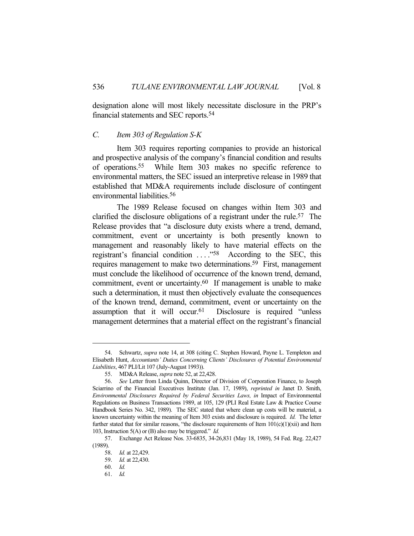designation alone will most likely necessitate disclosure in the PRP's financial statements and SEC reports.54

# *C. Item 303 of Regulation S-K*

 Item 303 requires reporting companies to provide an historical and prospective analysis of the company's financial condition and results of operations.55 While Item 303 makes no specific reference to environmental matters, the SEC issued an interpretive release in 1989 that established that MD&A requirements include disclosure of contingent environmental liabilities.56

 The 1989 Release focused on changes within Item 303 and clarified the disclosure obligations of a registrant under the rule.57 The Release provides that "a disclosure duty exists where a trend, demand, commitment, event or uncertainty is both presently known to management and reasonably likely to have material effects on the registrant's financial condition . . . ."58 According to the SEC, this requires management to make two determinations.59 First, management must conclude the likelihood of occurrence of the known trend, demand, commitment, event or uncertainty.60 If management is unable to make such a determination, it must then objectively evaluate the consequences of the known trend, demand, commitment, event or uncertainty on the assumption that it will occur.<sup>61</sup> Disclosure is required "unless" management determines that a material effect on the registrant's financial

 <sup>54.</sup> Schwartz, *supra* note 14, at 308 (citing C. Stephen Howard, Payne L. Templeton and Elisabeth Hunt, *Accountants' Duties Concerning Clients' Disclosures of Potential Environmental Liabilities*, 467 PLI/Lit 107 (July-August 1993)).

 <sup>55.</sup> MD&A Release, *supra* note 52, at 22,428.

 <sup>56.</sup> *See* Letter from Linda Quinn, Director of Division of Corporation Finance, to Joseph Sciarrino of the Financial Executives Institute (Jan. 17, 1989), *reprinted in* Janet D. Smith, *Environmental Disclosures Required by Federal Securities Laws, in* Impact of Environmental Regulations on Business Transactions 1989, at 105, 129 (PLI Real Estate Law & Practice Course Handbook Series No. 342, 1989). The SEC stated that where clean up costs will be material, a known uncertainty within the meaning of Item 303 exists and disclosure is required. *Id.* The letter further stated that for similar reasons, "the disclosure requirements of Item  $101(c)(1)(xii)$  and Item 103, Instruction 5(A) or (B) also may be triggered." *Id.*

 <sup>57.</sup> Exchange Act Release Nos. 33-6835, 34-26,831 (May 18, 1989), 54 Fed. Reg. 22,427 (1989).

 <sup>58.</sup> *Id.* at 22,429.

 <sup>59.</sup> *Id.* at 22,430.

 <sup>60.</sup> *Id.*

 <sup>61.</sup> *Id.*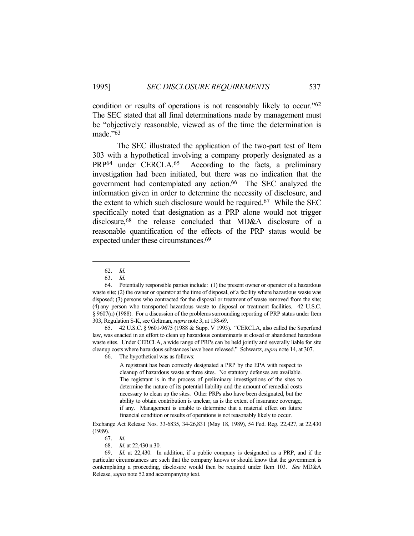condition or results of operations is not reasonably likely to occur."62 The SEC stated that all final determinations made by management must be "objectively reasonable, viewed as of the time the determination is made."63

 The SEC illustrated the application of the two-part test of Item 303 with a hypothetical involving a company properly designated as a PRP64 under CERCLA.65 According to the facts, a preliminary investigation had been initiated, but there was no indication that the government had contemplated any action.66 The SEC analyzed the information given in order to determine the necessity of disclosure, and the extent to which such disclosure would be required.<sup>67</sup> While the SEC specifically noted that designation as a PRP alone would not trigger disclosure,68 the release concluded that MD&A disclosure of a reasonable quantification of the effects of the PRP status would be expected under these circumstances.69

66. The hypothetical was as follows:

A registrant has been correctly designated a PRP by the EPA with respect to cleanup of hazardous waste at three sites. No statutory defenses are available. The registrant is in the process of preliminary investigations of the sites to determine the nature of its potential liability and the amount of remedial costs necessary to clean up the sites. Other PRPs also have been designated, but the ability to obtain contribution is unclear, as is the extent of insurance coverage, if any. Management is unable to determine that a material effect on future financial condition or results of operations is not reasonably likely to occur.

Exchange Act Release Nos. 33-6835, 34-26,831 (May 18, 1989), 54 Fed. Reg. 22,427, at 22,430 (1989).

 <sup>62.</sup> *Id.*

 <sup>63.</sup> *Id.*

 <sup>64.</sup> Potentially responsible parties include: (1) the present owner or operator of a hazardous waste site; (2) the owner or operator at the time of disposal, of a facility where hazardous waste was disposed; (3) persons who contracted for the disposal or treatment of waste removed from the site; (4) any person who transported hazardous waste to disposal or treatment facilities. 42 U.S.C. § 9607(a) (1988). For a discussion of the problems surrounding reporting of PRP status under Item 303, Regulation S-K, see Geltman, *supra* note 3, at 158-69.

 <sup>65. 42</sup> U.S.C. § 9601-9675 (1988 & Supp. V 1993). "CERCLA, also called the Superfund law, was enacted in an effort to clean up hazardous contaminants at closed or abandoned hazardous waste sites. Under CERCLA, a wide range of PRPs can be held jointly and severally liable for site cleanup costs where hazardous substances have been released." Schwartz, *supra* note 14, at 307.

 <sup>67.</sup> *Id.*

 <sup>68.</sup> *Id.* at 22,430 n.30.

 <sup>69.</sup> *Id.* at 22,430. In addition, if a public company is designated as a PRP, and if the particular circumstances are such that the company knows or should know that the government is contemplating a proceeding, disclosure would then be required under Item 103. *See* MD&A Release, *supra* note 52 and accompanying text.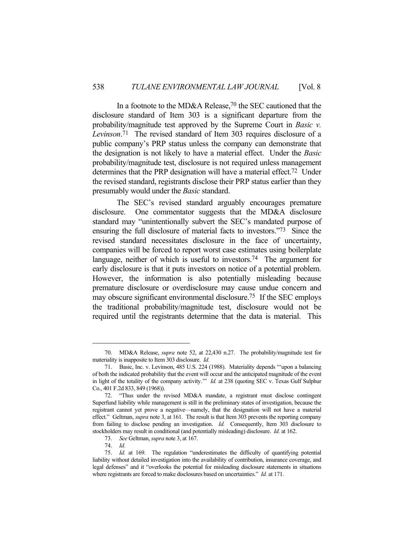In a footnote to the MD&A Release,70 the SEC cautioned that the disclosure standard of Item 303 is a significant departure from the probability/magnitude test approved by the Supreme Court in *Basic v. Levinson*. 71The revised standard of Item 303 requires disclosure of a public company's PRP status unless the company can demonstrate that the designation is not likely to have a material effect. Under the *Basic* probability/magnitude test, disclosure is not required unless management determines that the PRP designation will have a material effect. 72 Under the revised standard, registrants disclose their PRP status earlier than they presumably would under the *Basic* standard.

 The SEC's revised standard arguably encourages premature disclosure. One commentator suggests that the MD&A disclosure standard may "unintentionally subvert the SEC's mandated purpose of ensuring the full disclosure of material facts to investors."73 Since the revised standard necessitates disclosure in the face of uncertainty, companies will be forced to report worst case estimates using boilerplate language, neither of which is useful to investors.<sup>74</sup> The argument for early disclosure is that it puts investors on notice of a potential problem. However, the information is also potentially misleading because premature disclosure or overdisclosure may cause undue concern and may obscure significant environmental disclosure.75 If the SEC employs the traditional probability/magnitude test, disclosure would not be required until the registrants determine that the data is material. This

 <sup>70.</sup> MD&A Release, *supra* note 52, at 22,430 n.27. The probability/magnitude test for materiality is inapposite to Item 303 disclosure. *Id.*

 <sup>71.</sup> Basic, Inc. v. Levinson, 485 U.S. 224 (1988). Materiality depends "'upon a balancing of both the indicated probability that the event will occur and the anticipated magnitude of the event in light of the totality of the company activity.'" *Id.* at 238 (quoting SEC v. Texas Gulf Sulphur Co., 401 F.2d 833, 849 (1968)).

 <sup>72. &</sup>quot;Thus under the revised MD&A mandate, a registrant must disclose contingent Superfund liability while management is still in the preliminary states of investigation, because the registrant cannot yet prove a negative—namely, that the designation will not have a material effect." Geltman, *supra* note 3, at 161. The result is that Item 303 prevents the reporting company from failing to disclose pending an investigation. *Id.* Consequently, Item 303 disclosure to stockholders may result in conditional (and potentially misleading) disclosure. *Id.* at 162.

 <sup>73.</sup> *See* Geltman, *supra* note 3, at 167.

 <sup>74.</sup> *Id.*

 <sup>75.</sup> *Id.* at 169. The regulation "underestimates the difficulty of quantifying potential liability without detailed investigation into the availability of contribution, insurance coverage, and legal defenses" and it "overlooks the potential for misleading disclosure statements in situations where registrants are forced to make disclosures based on uncertainties." *Id.* at 171.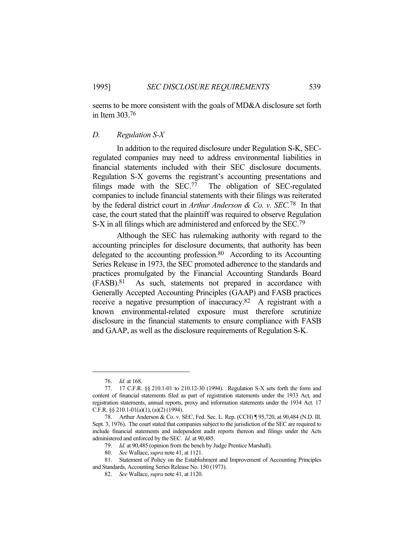seems to be more consistent with the goals of MD&A disclosure set forth in Item 303.76

### *D. Regulation S-X*

 In addition to the required disclosure under Regulation S-K, SECregulated companies may need to address environmental liabilities in financial statements included with their SEC disclosure documents. Regulation S-X governs the registrant's accounting presentations and filings made with the SEC.77 The obligation of SEC-regulated companies to include financial statements with their filings was reiterated by the federal district court in *Arthur Anderson & Co. v. SEC.*78 In that case, the court stated that the plaintiff was required to observe Regulation S-X in all filings which are administered and enforced by the SEC.<sup>79</sup>

 Although the SEC has rulemaking authority with regard to the accounting principles for disclosure documents, that authority has been delegated to the accounting profession.<sup>80</sup> According to its Accounting Series Release in 1973, the SEC promoted adherence to the standards and practices promulgated by the Financial Accounting Standards Board (FASB).81 As such, statements not prepared in accordance with Generally Accepted Accounting Principles (GAAP) and FASB practices receive a negative presumption of inaccuracy.82 A registrant with a known environmental-related exposure must therefore scrutinize disclosure in the financial statements to ensure compliance with FASB and GAAP, as well as the disclosure requirements of Regulation S-K.

 <sup>76.</sup> *Id.* at 168.

 <sup>77. 17</sup> C.F.R. §§ 210.1-01 to 210.12-30 (1994). Regulation S-X sets forth the form and content of financial statements filed as part of registration statements under the 1933 Act, and registration statements, annual reports, proxy and information statements under the 1934 Act. 17 C.F.R. §§ 210.1-01(a)(1), (a)(2) (1994).

 <sup>78.</sup> Arthur Anderson & Co. v. SEC, Fed. Sec. L. Rep. (CCH) ¶ 95,720, at 90,484 (N.D. Ill. Sept. 3, 1976). The court stated that companies subject to the jurisdiction of the SEC are required to include financial statements and independent audit reports thereon and filings under the Acts administered and enforced by the SEC. *Id.* at 90,485.

 <sup>79.</sup> *Id.* at 90,485 (opinion from the bench by Judge Prentice Marshall).

 <sup>80.</sup> *See* Wallace, *supra* note 41, at 1121.

 <sup>81.</sup> Statement of Policy on the Establishment and Improvement of Accounting Principles and Standards, Accounting Series Release No. 150 (1973).

 <sup>82.</sup> *See* Wallace, *supra* note 41, at 1120.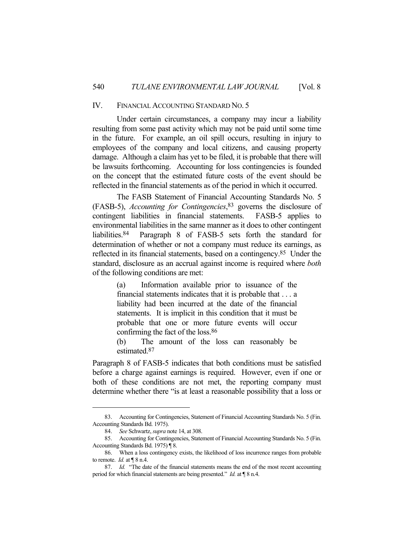### IV. FINANCIAL ACCOUNTING STANDARD NO. 5

 Under certain circumstances, a company may incur a liability resulting from some past activity which may not be paid until some time in the future. For example, an oil spill occurs, resulting in injury to employees of the company and local citizens, and causing property damage. Although a claim has yet to be filed, it is probable that there will be lawsuits forthcoming. Accounting for loss contingencies is founded on the concept that the estimated future costs of the event should be reflected in the financial statements as of the period in which it occurred.

 The FASB Statement of Financial Accounting Standards No. 5 (FASB-5), *Accounting for Contingencies*, 83 governs the disclosure of contingent liabilities in financial statements. FASB-5 applies to environmental liabilities in the same manner as it does to other contingent liabilities.84 Paragraph 8 of FASB-5 sets forth the standard for determination of whether or not a company must reduce its earnings, as reflected in its financial statements, based on a contingency.85 Under the standard, disclosure as an accrual against income is required where *both*  of the following conditions are met:

> (a) Information available prior to issuance of the financial statements indicates that it is probable that . . . a liability had been incurred at the date of the financial statements. It is implicit in this condition that it must be probable that one or more future events will occur confirming the fact of the loss.86

> (b) The amount of the loss can reasonably be estimated.87

Paragraph 8 of FASB-5 indicates that both conditions must be satisfied before a charge against earnings is required. However, even if one or both of these conditions are not met, the reporting company must determine whether there "is at least a reasonable possibility that a loss or

 <sup>83.</sup> Accounting for Contingencies, Statement of Financial Accounting Standards No. 5 (Fin. Accounting Standards Bd. 1975).

 <sup>84.</sup> *See* Schwartz, *supra* note 14, at 308.

 <sup>85.</sup> Accounting for Contingencies, Statement of Financial Accounting Standards No. 5 (Fin. Accounting Standards Bd. 1975) ¶ 8.

 <sup>86.</sup> When a loss contingency exists, the likelihood of loss incurrence ranges from probable to remote. *Id.* at  $\P$  8 n.4.

 <sup>87.</sup> *Id.* "The date of the financial statements means the end of the most recent accounting period for which financial statements are being presented." *Id.* at ¶ 8 n.4.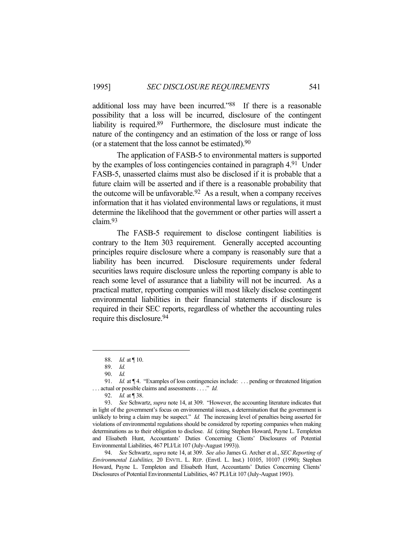additional loss may have been incurred."88 If there is a reasonable possibility that a loss will be incurred, disclosure of the contingent liability is required.89 Furthermore, the disclosure must indicate the nature of the contingency and an estimation of the loss or range of loss (or a statement that the loss cannot be estimated).90

 The application of FASB-5 to environmental matters is supported by the examples of loss contingencies contained in paragraph 4.91 Under FASB-5, unasserted claims must also be disclosed if it is probable that a future claim will be asserted and if there is a reasonable probability that the outcome will be unfavorable. $92$  As a result, when a company receives information that it has violated environmental laws or regulations, it must determine the likelihood that the government or other parties will assert a claim.93

 The FASB-5 requirement to disclose contingent liabilities is contrary to the Item 303 requirement. Generally accepted accounting principles require disclosure where a company is reasonably sure that a liability has been incurred. Disclosure requirements under federal securities laws require disclosure unless the reporting company is able to reach some level of assurance that a liability will not be incurred. As a practical matter, reporting companies will most likely disclose contingent environmental liabilities in their financial statements if disclosure is required in their SEC reports, regardless of whether the accounting rules require this disclosure.94

 <sup>88.</sup> *Id.* at ¶ 10.

 <sup>89.</sup> *Id.*

 <sup>90.</sup> *Id.*

<sup>91.</sup> *Id.* at ¶ 4. "Examples of loss contingencies include: ... pending or threatened litigation . . . actual or possible claims and assessments . . . ." *Id.*

 <sup>92.</sup> *Id.* at ¶ 38.

 <sup>93.</sup> *See* Schwartz, *supra* note 14, at 309. "However, the accounting literature indicates that in light of the government's focus on environmental issues, a determination that the government is unlikely to bring a claim may be suspect." *Id.* The increasing level of penalties being asserted for violations of environmental regulations should be considered by reporting companies when making determinations as to their obligation to disclose. *Id.* (citing Stephen Howard, Payne L. Templeton and Elisabeth Hunt, Accountants' Duties Concerning Clients' Disclosures of Potential Environmental Liabilities, 467 PLI/Lit 107 (July-August 1993)).

 <sup>94.</sup> *See* Schwartz, *supra* note 14, at 309. *See also* James G. Archer et al., *SEC Reporting of Environmental Liabilities,* 20 ENVTL. L. REP. (Envtl. L. Inst.) 10105, 10107 (1990); Stephen Howard, Payne L. Templeton and Elisabeth Hunt, Accountants' Duties Concerning Clients' Disclosures of Potential Environmental Liabilities, 467 PLI/Lit 107 (July-August 1993).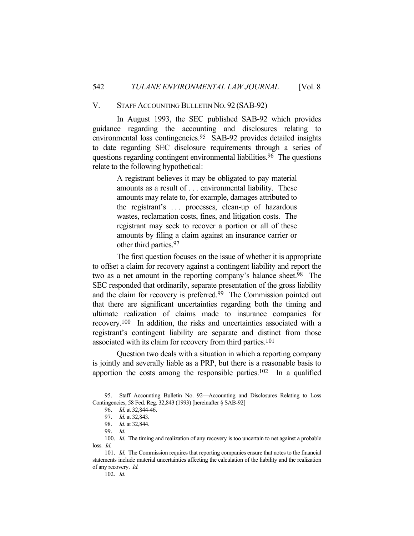### V. STAFF ACCOUNTING BULLETIN NO. 92 (SAB-92)

 In August 1993, the SEC published SAB-92 which provides guidance regarding the accounting and disclosures relating to environmental loss contingencies.95 SAB-92 provides detailed insights to date regarding SEC disclosure requirements through a series of questions regarding contingent environmental liabilities.96 The questions relate to the following hypothetical:

> A registrant believes it may be obligated to pay material amounts as a result of . . . environmental liability. These amounts may relate to, for example, damages attributed to the registrant's . . . processes, clean-up of hazardous wastes, reclamation costs, fines, and litigation costs. The registrant may seek to recover a portion or all of these amounts by filing a claim against an insurance carrier or other third parties.97

 The first question focuses on the issue of whether it is appropriate to offset a claim for recovery against a contingent liability and report the two as a net amount in the reporting company's balance sheet.<sup>98</sup> The SEC responded that ordinarily, separate presentation of the gross liability and the claim for recovery is preferred.99 The Commission pointed out that there are significant uncertainties regarding both the timing and ultimate realization of claims made to insurance companies for recovery.100 In addition, the risks and uncertainties associated with a registrant's contingent liability are separate and distinct from those associated with its claim for recovery from third parties.101

 Question two deals with a situation in which a reporting company is jointly and severally liable as a PRP, but there is a reasonable basis to apportion the costs among the responsible parties.<sup>102</sup> In a qualified

 <sup>95.</sup> Staff Accounting Bulletin No. 92—Accounting and Disclosures Relating to Loss Contingencies, 58 Fed. Reg. 32,843 (1993) [hereinafter § SAB-92]

 <sup>96.</sup> *Id.* at 32,844-46.

 <sup>97.</sup> *Id.* at 32,843.

 <sup>98.</sup> *Id.* at 32,844.

 <sup>99.</sup> *Id.*

<sup>100.</sup> *Id.* The timing and realization of any recovery is too uncertain to net against a probable loss. *Id.*

 <sup>101.</sup> *Id.* The Commission requires that reporting companies ensure that notes to the financial statements include material uncertainties affecting the calculation of the liability and the realization of any recovery. *Id.*

 <sup>102.</sup> *Id.*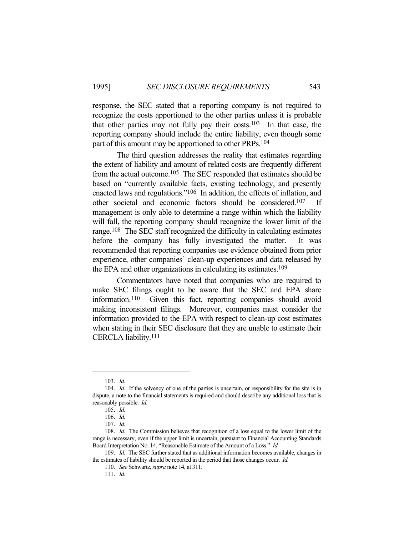response, the SEC stated that a reporting company is not required to recognize the costs apportioned to the other parties unless it is probable that other parties may not fully pay their costs.<sup>103</sup> In that case, the reporting company should include the entire liability, even though some part of this amount may be apportioned to other PRPs.104

 The third question addresses the reality that estimates regarding the extent of liability and amount of related costs are frequently different from the actual outcome.105 The SEC responded that estimates should be based on "currently available facts, existing technology, and presently enacted laws and regulations."106 In addition, the effects of inflation, and other societal and economic factors should be considered.107 If management is only able to determine a range within which the liability will fall, the reporting company should recognize the lower limit of the range.108 The SEC staff recognized the difficulty in calculating estimates before the company has fully investigated the matter. It was recommended that reporting companies use evidence obtained from prior experience, other companies' clean-up experiences and data released by the EPA and other organizations in calculating its estimates.109

 Commentators have noted that companies who are required to make SEC filings ought to be aware that the SEC and EPA share information.110 Given this fact, reporting companies should avoid making inconsistent filings. Moreover, companies must consider the information provided to the EPA with respect to clean-up cost estimates when stating in their SEC disclosure that they are unable to estimate their CERCLA liability.111

 <sup>103.</sup> *Id.*

 <sup>104.</sup> *Id.* If the solvency of one of the parties is uncertain, or responsibility for the site is in dispute, a note to the financial statements is required and should describe any additional loss that is reasonably possible. *Id.*

 <sup>105.</sup> *Id.*

 <sup>106.</sup> *Id.*

 <sup>107.</sup> *Id.*

 <sup>108.</sup> *Id.* The Commission believes that recognition of a loss equal to the lower limit of the range is necessary, even if the upper limit is uncertain, pursuant to Financial Accounting Standards Board Interpretation No. 14, "Reasonable Estimate of the Amount of a Loss." *Id.*

 <sup>109.</sup> *Id.* The SEC further stated that as additional information becomes available, changes in the estimates of liability should be reported in the period that those changes occur. *Id.*

 <sup>110.</sup> *See* Schwartz, *supra* note 14, at 311.

 <sup>111.</sup> *Id.*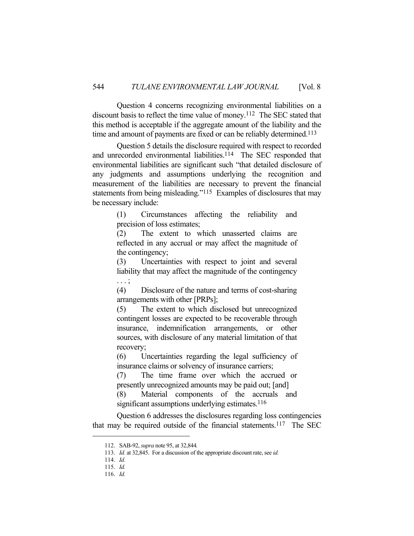Question 4 concerns recognizing environmental liabilities on a discount basis to reflect the time value of money.112 The SEC stated that this method is acceptable if the aggregate amount of the liability and the time and amount of payments are fixed or can be reliably determined.<sup>113</sup>

 Question 5 details the disclosure required with respect to recorded and unrecorded environmental liabilities.<sup>114</sup> The SEC responded that environmental liabilities are significant such "that detailed disclosure of any judgments and assumptions underlying the recognition and measurement of the liabilities are necessary to prevent the financial statements from being misleading."115 Examples of disclosures that may be necessary include:

> (1) Circumstances affecting the reliability and precision of loss estimates;

> (2) The extent to which unasserted claims are reflected in any accrual or may affect the magnitude of the contingency;

> (3) Uncertainties with respect to joint and several liability that may affect the magnitude of the contingency . . . ;

> (4) Disclosure of the nature and terms of cost-sharing arrangements with other [PRPs];

> (5) The extent to which disclosed but unrecognized contingent losses are expected to be recoverable through insurance, indemnification arrangements, or other sources, with disclosure of any material limitation of that recovery;

> (6) Uncertainties regarding the legal sufficiency of insurance claims or solvency of insurance carriers;

> (7) The time frame over which the accrued or presently unrecognized amounts may be paid out; [and]

> (8) Material components of the accruals and significant assumptions underlying estimates. $116$

 Question 6 addresses the disclosures regarding loss contingencies that may be required outside of the financial statements.117 The SEC

 <sup>112.</sup> SAB-92, *supra* note 95, at 32,844*.*

 <sup>113.</sup> *Id.* at 32,845. For a discussion of the appropriate discount rate, see *id.*

 <sup>114.</sup> *Id.*

 <sup>115.</sup> *Id.*

 <sup>116.</sup> *Id.*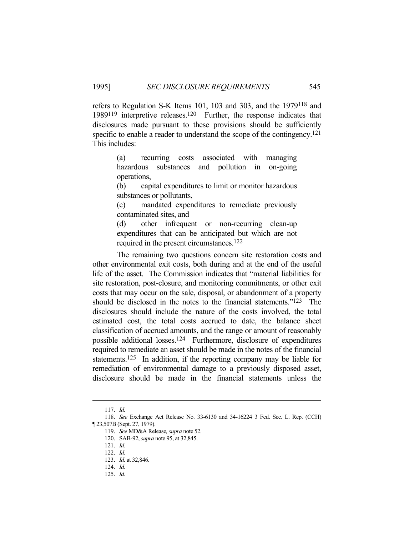refers to Regulation S-K Items 101, 103 and 303, and the 1979118 and 1989119 interpretive releases.120 Further, the response indicates that disclosures made pursuant to these provisions should be sufficiently specific to enable a reader to understand the scope of the contingency.<sup>121</sup> This includes:

> (a) recurring costs associated with managing hazardous substances and pollution in on-going operations,

> (b) capital expenditures to limit or monitor hazardous substances or pollutants,

> (c) mandated expenditures to remediate previously contaminated sites, and

> (d) other infrequent or non-recurring clean-up expenditures that can be anticipated but which are not required in the present circumstances.122

 The remaining two questions concern site restoration costs and other environmental exit costs, both during and at the end of the useful life of the asset. The Commission indicates that "material liabilities for site restoration, post-closure, and monitoring commitments, or other exit costs that may occur on the sale, disposal, or abandonment of a property should be disclosed in the notes to the financial statements."123 The disclosures should include the nature of the costs involved, the total estimated cost, the total costs accrued to date, the balance sheet classification of accrued amounts, and the range or amount of reasonably possible additional losses.124 Furthermore, disclosure of expenditures required to remediate an asset should be made in the notes of the financial statements.125 In addition, if the reporting company may be liable for remediation of environmental damage to a previously disposed asset, disclosure should be made in the financial statements unless the

 <sup>117.</sup> *Id.*

 <sup>118.</sup> *See* Exchange Act Release No. 33-6130 and 34-16224 3 Fed. Sec. L. Rep. (CCH) ¶ 23,507B (Sept. 27, 1979).

 <sup>119.</sup> *See* MD&A Release*, supra* note 52.

 <sup>120.</sup> SAB-92, *supra* note 95, at 32,845.

 <sup>121.</sup> *Id*.

 <sup>122.</sup> *Id.*

 <sup>123.</sup> *Id.* at 32,846.

 <sup>124.</sup> *Id.*

 <sup>125.</sup> *Id.*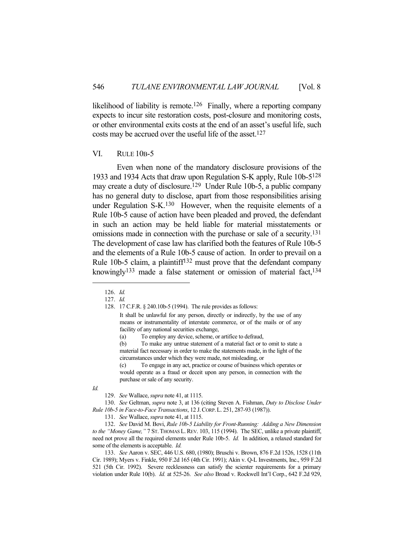likelihood of liability is remote.<sup>126</sup> Finally, where a reporting company expects to incur site restoration costs, post-closure and monitoring costs, or other environmental exits costs at the end of an asset's useful life, such costs may be accrued over the useful life of the asset.127

#### VI. RULE 10B-5

 Even when none of the mandatory disclosure provisions of the 1933 and 1934 Acts that draw upon Regulation S-K apply, Rule 10b-5128 may create a duty of disclosure.129 Under Rule 10b-5, a public company has no general duty to disclose, apart from those responsibilities arising under Regulation S-K.130 However, when the requisite elements of a Rule 10b-5 cause of action have been pleaded and proved, the defendant in such an action may be held liable for material misstatements or omissions made in connection with the purchase or sale of a security.131 The development of case law has clarified both the features of Rule 10b-5 and the elements of a Rule 10b-5 cause of action. In order to prevail on a Rule 10b-5 claim, a plaintiff132 must prove that the defendant company knowingly<sup>133</sup> made a false statement or omission of material fact,<sup>134</sup>

(c) To engage in any act, practice or course of business which operates or would operate as a fraud or deceit upon any person, in connection with the purchase or sale of any security.

*Id.*

 130. *See* Geltman, *supra* note 3, at 136 (citing Steven A. Fishman, *Duty to Disclose Under Rule 10b-5 in Face-to-Face Transactions*, 12 J.CORP.L. 251, 287-93 (1987)).

 <sup>126.</sup> *Id.*

 <sup>127.</sup> *Id.*

 <sup>128. 17</sup> C.F.R. § 240.10b-5 (1994). The rule provides as follows:

It shall be unlawful for any person, directly or indirectly, by the use of any means or instrumentality of interstate commerce, or of the mails or of any facility of any national securities exchange,

<sup>(</sup>a) To employ any device, scheme, or artifice to defraud,

<sup>(</sup>b) To make any untrue statement of a material fact or to omit to state a material fact necessary in order to make the statements made, in the light of the circumstances under which they were made, not misleading, or

 <sup>129.</sup> *See* Wallace, *supra* note 41, at 1115.

 <sup>131.</sup> *See* Wallace, *supra* note 41, at 1115.

 <sup>132.</sup> *See* David M. Bovi, *Rule 10b-5 Liability for Front-Running: Adding a New Dimension to the "Money Game,"* 7 ST. THOMAS L.REV. 103, 115 (1994). The SEC, unlike a private plaintiff, need not prove all the required elements under Rule 10b-5. *Id.* In addition, a relaxed standard for some of the elements is acceptable. *Id.*

 <sup>133.</sup> *See* Aaron v. SEC, 446 U.S. 680, (1980); Bruschi v. Brown, 876 F.2d 1526, 1528 (11th Cir. 1989); Myers v. Finkle, 950 F.2d 165 (4th Cir. 1991); Akin v. Q-L Investments, Inc., 959 F.2d 521 (5th Cir. 1992). Severe recklessness can satisfy the scienter requirements for a primary violation under Rule 10(b). *Id.* at 525-26. *See also* Broad v. Rockwell Int'l Corp., 642 F.2d 929,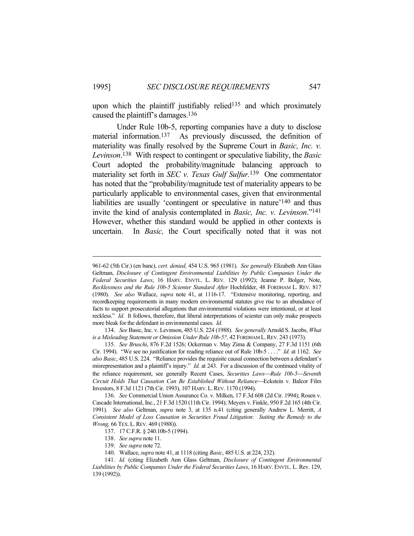upon which the plaintiff justifiably relied<sup>135</sup> and which proximately caused the plaintiff's damages.136

 Under Rule 10b-5, reporting companies have a duty to disclose material information.137 As previously discussed, the definition of materiality was finally resolved by the Supreme Court in *Basic, Inc. v. Levinson*. 138 With respect to contingent or speculative liability, the *Basic* Court adopted the probability/magnitude balancing approach to materiality set forth in *SEC v. Texas Gulf Sulfur.*139 One commentator has noted that the "probability/magnitude test of materiality appears to be particularly applicable to environmental cases, given that environmental liabilities are usually 'contingent or speculative in nature'140 and thus invite the kind of analysis contemplated in *Basic, Inc. v. Levinson*."141 However, whether this standard would be applied in other contexts is uncertain. In *Basic,* the Court specifically noted that it was not

 134. *See* Basic, Inc. v. Levinson, 485 U.S. 224 (1988). *See generally* Arnold S. Jacobs, *What is a Misleading Statement or Omission Under Rule 10b-5?,* 42 FORDHAM L.REV. 243 (1973).

<sup>961-62 (5</sup>th Cir.) (en banc), *cert. denied,* 454 U.S. 965 (1981). *See generally* Elizabeth Ann Glass Geltman, *Disclosure of Contingent Environmental Liabilities by Public Companies Under the Federal Securities Laws*, 16 HARV. ENVTL. L. REV. 129 (1992); Jeanne P. Bolger, Note, *Recklessness and the Rule 10b-5 Scienter Standard After* Hochfelder, 48 FORDHAM L. REV. 817 (1980). *See also* Wallace, *supra* note 41, at 1116-17. "Extensive monitoring, reporting, and recordkeeping requirements in many modern environmental statutes give rise to an abundance of facts to support prosecutorial allegations that environmental violations were intentional, or at least reckless." *Id.* It follows, therefore, that liberal interpretations of scienter can only make prospects more bleak for the defendant in environmental cases. *Id.*

 <sup>135.</sup> *See Bruschi*, 876 F.2d 1526; Ockerman v. May Zima & Company, 27 F.3d 1151 (6th Cir. 1994). "We see no justification for reading reliance out of Rule 10b-5 . . . ." *Id.* at 1162. *See also Basic*, 485 U.S. 224. "Reliance provides the requisite causal connection between a defendant's misrepresentation and a plaintiff's injury." *Id.* at 243. For a discussion of the continued vitality of the reliance requirement, see generally Recent Cases, *Securities Laws—Rule 10b-5—Seventh Circuit Holds That Causation Can Be Established Without Reliance*Eckstein v. Balcor Film Investors, 8 F.3d 1121 (7th Cir. 1993), 107 HARV.L.REV. 1170 (1994).

 <sup>136.</sup> *See* Commercial Union Assurance Co. v. Milken, 17 F.3d 608 (2d Cir. 1994); Rosen v. Cascade International, Inc., 21 F.3d 1520 (11th Cir. 1994); Meyers v. Finkle, 950 F.2d 165 (4th Cir. 1991). *See also* Geltman, *supra* note 3, at 135 n.41 (citing generally Andrew L. Merritt, *A Consistent Model of Loss Causation in Securities Fraud Litigation: Suiting the Remedy to the Wrong,* 66 TEX. L. REV. 469 (1988)).

 <sup>137. 17</sup> C.F.R. § 240.10b-5 (1994).

 <sup>138.</sup> *See supra* note 11.

 <sup>139.</sup> *See supra* note 72.

 <sup>140.</sup> Wallace, *supra* note 41, at 1118 (citing *Basic*, 485 U.S. at 224, 232).

 <sup>141.</sup> *Id.* (citing Elizabeth Ann Glass Geltman, *Disclosure of Contingent Environmental Liabilities by Public Companies Under the Federal Securities Laws*, 16 HARV. ENVTL. L. Rev. 129, 139 (1992)).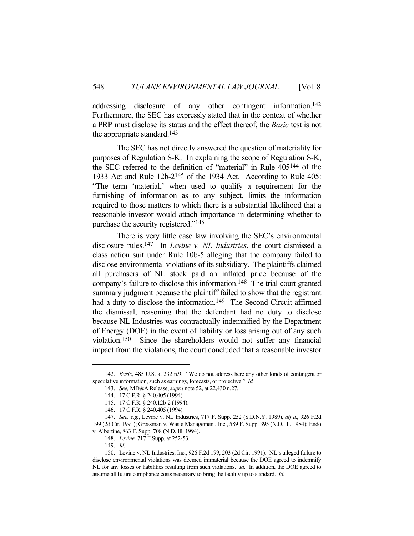addressing disclosure of any other contingent information.<sup>142</sup> Furthermore, the SEC has expressly stated that in the context of whether a PRP must disclose its status and the effect thereof, the *Basic* test is not the appropriate standard.143

 The SEC has not directly answered the question of materiality for purposes of Regulation S-K. In explaining the scope of Regulation S-K, the SEC referred to the definition of "material" in Rule 405144 of the 1933 Act and Rule 12b-2145 of the 1934 Act. According to Rule 405: "The term 'material,' when used to qualify a requirement for the furnishing of information as to any subject, limits the information required to those matters to which there is a substantial likelihood that a reasonable investor would attach importance in determining whether to purchase the security registered."146

 There is very little case law involving the SEC's environmental disclosure rules.147 In *Levine v. NL Industries*, the court dismissed a class action suit under Rule 10b-5 alleging that the company failed to disclose environmental violations of its subsidiary. The plaintiffs claimed all purchasers of NL stock paid an inflated price because of the company's failure to disclose this information.<sup>148</sup> The trial court granted summary judgment because the plaintiff failed to show that the registrant had a duty to disclose the information.<sup>149</sup> The Second Circuit affirmed the dismissal, reasoning that the defendant had no duty to disclose because NL Industries was contractually indemnified by the Department of Energy (DOE) in the event of liability or loss arising out of any such violation.150 Since the shareholders would not suffer any financial impact from the violations, the court concluded that a reasonable investor

 <sup>142.</sup> *Basic*, 485 U.S. at 232 n.9. "We do not address here any other kinds of contingent or speculative information, such as earnings, forecasts, or projective." *Id.* 

 <sup>143.</sup> *See,* MD&A Release, *supra* note 52, at 22,430 n.27.

 <sup>144. 17</sup> C.F.R. § 240.405 (1994).

 <sup>145. 17</sup> C.F.R. § 240.12b-2 (1994).

 <sup>146. 17</sup> C.F.R. § 240.405 (1994).

 <sup>147.</sup> *See*, *e.g.*, Levine v. NL Industries, 717 F. Supp. 252 (S.D.N.Y. 1989), *aff'd.,* 926 F.2d 199 (2d Cir. 1991); Grossman v. Waste Management, Inc., 589 F. Supp. 395 (N.D. Ill. 1984); Endo v. Albertine, 863 F. Supp. 708 (N.D. Ill. 1994).

 <sup>148.</sup> *Levine,* 717 F.Supp. at 252-53.

 <sup>149.</sup> *Id.*

 <sup>150.</sup> Levine v. NL Industries, Inc., 926 F.2d 199, 203 (2d Cir. 1991). NL's alleged failure to disclose environmental violations was deemed immaterial because the DOE agreed to indemnify NL for any losses or liabilities resulting from such violations. *Id.* In addition, the DOE agreed to assume all future compliance costs necessary to bring the facility up to standard. *Id.*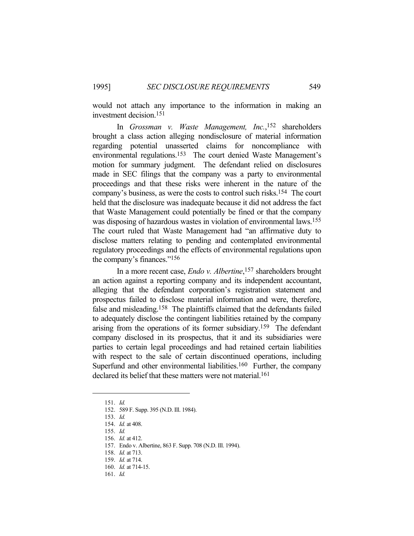would not attach any importance to the information in making an investment decision.151

 In *Grossman v. Waste Management, Inc.*, 152 shareholders brought a class action alleging nondisclosure of material information regarding potential unasserted claims for noncompliance with environmental regulations.153 The court denied Waste Management's motion for summary judgment. The defendant relied on disclosures made in SEC filings that the company was a party to environmental proceedings and that these risks were inherent in the nature of the company's business, as were the costs to control such risks.154 The court held that the disclosure was inadequate because it did not address the fact that Waste Management could potentially be fined or that the company was disposing of hazardous wastes in violation of environmental laws.155 The court ruled that Waste Management had "an affirmative duty to disclose matters relating to pending and contemplated environmental regulatory proceedings and the effects of environmental regulations upon the company's finances."156

 In a more recent case, *Endo v. Albertine*, 157 shareholders brought an action against a reporting company and its independent accountant, alleging that the defendant corporation's registration statement and prospectus failed to disclose material information and were, therefore, false and misleading.158 The plaintiffs claimed that the defendants failed to adequately disclose the contingent liabilities retained by the company arising from the operations of its former subsidiary.159 The defendant company disclosed in its prospectus, that it and its subsidiaries were parties to certain legal proceedings and had retained certain liabilities with respect to the sale of certain discontinued operations, including Superfund and other environmental liabilities.<sup>160</sup> Further, the company declared its belief that these matters were not material.<sup>161</sup>

 <sup>151.</sup> *Id.*

 <sup>152. 589</sup> F. Supp. 395 (N.D. Ill. 1984).

 <sup>153.</sup> *Id.*

 <sup>154.</sup> *Id.* at 408.

 <sup>155.</sup> *Id.*

 <sup>156.</sup> *Id.* at 412.

 <sup>157.</sup> Endo v. Albertine, 863 F. Supp. 708 (N.D. Ill. 1994).

 <sup>158.</sup> *Id.* at 713.

 <sup>159.</sup> *Id.* at 714.

 <sup>160.</sup> *Id.* at 714-15.

 <sup>161.</sup> *Id.*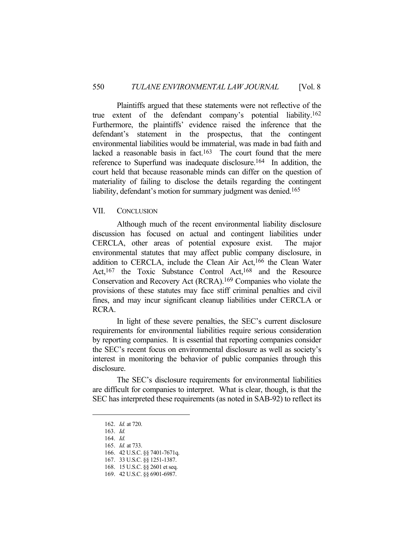Plaintiffs argued that these statements were not reflective of the true extent of the defendant company's potential liability.162 Furthermore, the plaintiffs' evidence raised the inference that the defendant's statement in the prospectus, that the contingent environmental liabilities would be immaterial, was made in bad faith and lacked a reasonable basis in fact.<sup>163</sup> The court found that the mere reference to Superfund was inadequate disclosure.164 In addition, the court held that because reasonable minds can differ on the question of materiality of failing to disclose the details regarding the contingent liability, defendant's motion for summary judgment was denied.<sup>165</sup>

### VII. CONCLUSION

 Although much of the recent environmental liability disclosure discussion has focused on actual and contingent liabilities under CERCLA, other areas of potential exposure exist. The major environmental statutes that may affect public company disclosure, in addition to CERCLA, include the Clean Air Act,166 the Clean Water Act,<sup>167</sup> the Toxic Substance Control Act,<sup>168</sup> and the Resource Conservation and Recovery Act (RCRA).169 Companies who violate the provisions of these statutes may face stiff criminal penalties and civil fines, and may incur significant cleanup liabilities under CERCLA or RCRA.

 In light of these severe penalties, the SEC's current disclosure requirements for environmental liabilities require serious consideration by reporting companies. It is essential that reporting companies consider the SEC's recent focus on environmental disclosure as well as society's interest in monitoring the behavior of public companies through this disclosure.

 The SEC's disclosure requirements for environmental liabilities are difficult for companies to interpret. What is clear, though, is that the SEC has interpreted these requirements (as noted in SAB-92) to reflect its

165. *Id.* at 733.

 <sup>162.</sup> *Id.* at 720.

 <sup>163.</sup> *Id.*

 <sup>164.</sup> *Id.*

 <sup>166. 42</sup> U.S.C. §§ 7401-7671q.

 <sup>167. 33</sup> U.S.C. §§ 1251-1387.

 <sup>168. 15</sup> U.S.C. §§ 2601 et seq.

 <sup>169. 42</sup> U.S.C. §§ 6901-6987.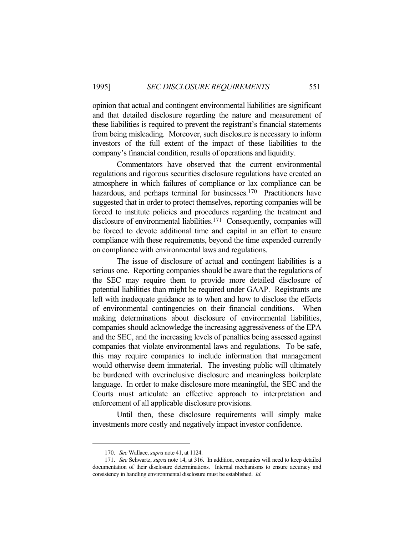opinion that actual and contingent environmental liabilities are significant and that detailed disclosure regarding the nature and measurement of these liabilities is required to prevent the registrant's financial statements from being misleading. Moreover, such disclosure is necessary to inform investors of the full extent of the impact of these liabilities to the company's financial condition, results of operations and liquidity.

 Commentators have observed that the current environmental regulations and rigorous securities disclosure regulations have created an atmosphere in which failures of compliance or lax compliance can be hazardous, and perhaps terminal for businesses.<sup>170</sup> Practitioners have suggested that in order to protect themselves, reporting companies will be forced to institute policies and procedures regarding the treatment and disclosure of environmental liabilities.<sup>171</sup> Consequently, companies will be forced to devote additional time and capital in an effort to ensure compliance with these requirements, beyond the time expended currently on compliance with environmental laws and regulations.

 The issue of disclosure of actual and contingent liabilities is a serious one. Reporting companies should be aware that the regulations of the SEC may require them to provide more detailed disclosure of potential liabilities than might be required under GAAP. Registrants are left with inadequate guidance as to when and how to disclose the effects of environmental contingencies on their financial conditions. When making determinations about disclosure of environmental liabilities, companies should acknowledge the increasing aggressiveness of the EPA and the SEC, and the increasing levels of penalties being assessed against companies that violate environmental laws and regulations. To be safe, this may require companies to include information that management would otherwise deem immaterial. The investing public will ultimately be burdened with overinclusive disclosure and meaningless boilerplate language. In order to make disclosure more meaningful, the SEC and the Courts must articulate an effective approach to interpretation and enforcement of all applicable disclosure provisions.

 Until then, these disclosure requirements will simply make investments more costly and negatively impact investor confidence.

 <sup>170.</sup> *See* Wallace, *supra* note 41, at 1124.

 <sup>171.</sup> *See* Schwartz, *supra* note 14, at 316. In addition, companies will need to keep detailed documentation of their disclosure determinations. Internal mechanisms to ensure accuracy and consistency in handling environmental disclosure must be established. *Id.*